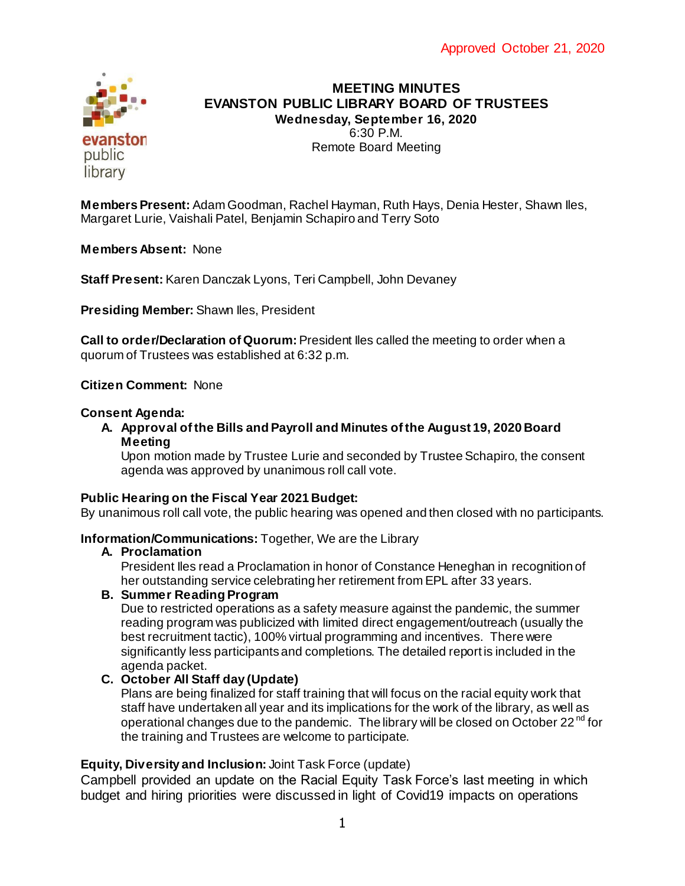

# **MEETING MINUTES EVANSTON PUBLIC LIBRARY BOARD OF TRUSTEES Wednesday, September 16, 2020** 6:30 P.M. Remote Board Meeting

**Members Present:** Adam Goodman, Rachel Hayman, Ruth Hays, Denia Hester, Shawn Iles, Margaret Lurie, Vaishali Patel, Benjamin Schapiro and Terry Soto

**Members Absent:** None

**Staff Present:** Karen Danczak Lyons, Teri Campbell, John Devaney

**Presiding Member:** Shawn Iles, President

**Call to order/Declaration of Quorum:** President Iles called the meeting to order when a quorum of Trustees was established at 6:32 p.m.

## **Citizen Comment:** None

#### **Consent Agenda:**

**A. Approval of the Bills and Payroll and Minutes of the August 19, 2020 Board Meeting**

Upon motion made by Trustee Lurie and seconded by Trustee Schapiro, the consent agenda was approved by unanimous roll call vote.

### **Public Hearing on the Fiscal Year 2021 Budget:**

By unanimous roll call vote, the public hearing was opened and then closed with no participants.

### **Information/Communications:** Together, We are the Library

### **A. Proclamation**

President Iles read a Proclamation in honor of Constance Heneghan in recognition of her outstanding service celebrating her retirement from EPL after 33 years.

### **B. Summer Reading Program**

Due to restricted operations as a safety measure against the pandemic, the summer reading program was publicized with limited direct engagement/outreach (usually the best recruitment tactic), 100% virtual programming and incentives. There were significantly less participants and completions. The detailed report is included in the agenda packet.

## **C. October All Staff day (Update)**

Plans are being finalized for staff training that will focus on the racial equity work that staff have undertaken all year and its implications for the work of the library, as well as operational changes due to the pandemic. The library will be closed on October 22 $^{\text{nd}}$  for the training and Trustees are welcome to participate.

## **Equity, Diversity and Inclusion:** Joint Task Force (update)

Campbell provided an update on the Racial Equity Task Force's last meeting in which budget and hiring priorities were discussed in light of Covid19 impacts on operations